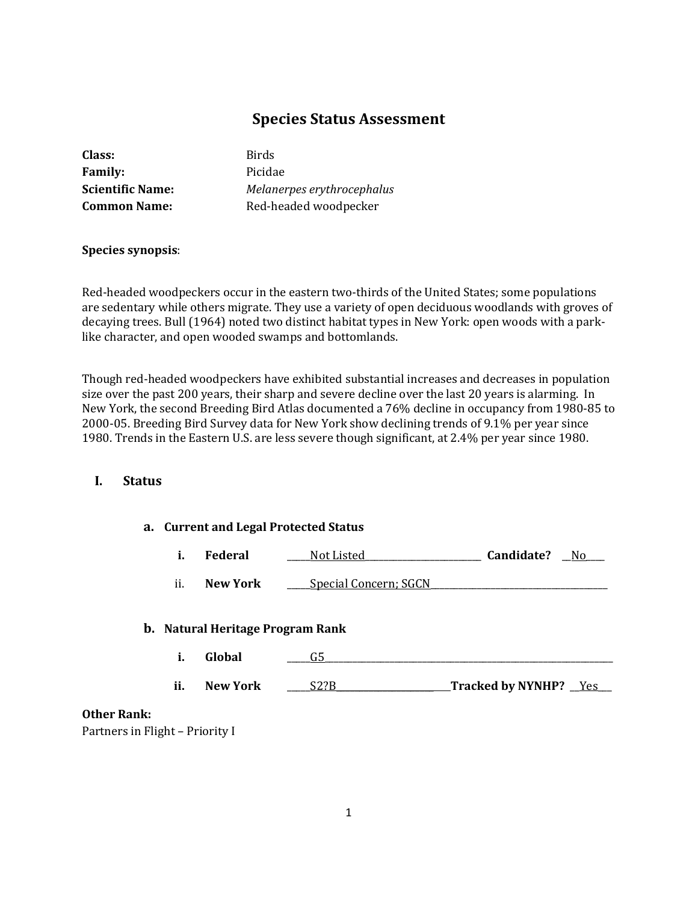# **Species Status Assessment**

| Class:                  |  |
|-------------------------|--|
| <b>Family:</b>          |  |
| <b>Scientific Name:</b> |  |
| <b>Common Name:</b>     |  |

**Class:** Birds **Family:** Picidae **Scientific Name:** *Melanerpes erythrocephalus* **Common Name:** Red-headed woodpecker

# **Species synopsis**:

Red-headed woodpeckers occur in the eastern two-thirds of the United States; some populations are sedentary while others migrate. They use a variety of open deciduous woodlands with groves of decaying trees. Bull (1964) noted two distinct habitat types in New York: open woods with a parklike character, and open wooded swamps and bottomlands.

Though red-headed woodpeckers have exhibited substantial increases and decreases in population size over the past 200 years, their sharp and severe decline over the last 20 years is alarming. In New York, the second Breeding Bird Atlas documented a 76% decline in occupancy from 1980-85 to 2000-05. Breeding Bird Survey data for New York show declining trends of 9.1% per year since 1980. Trends in the Eastern U.S. are less severe though significant, at 2.4% per year since 1980.

# **I. Status**

#### **a. Current and Legal Protected Status**

| Federal | Not<br>. Listed | Candidate? | Nc |
|---------|-----------------|------------|----|
|         |                 |            |    |

ii. **New York** Special Concern; SGCN

# **b. Natural Heritage Program Rank**

|     | Global          |                           |
|-----|-----------------|---------------------------|
|     |                 |                           |
| ii. | <b>New York</b> | Tracked by NYNHP?<br>Y es |

# **Other Rank:**

Partners in Flight – Priority I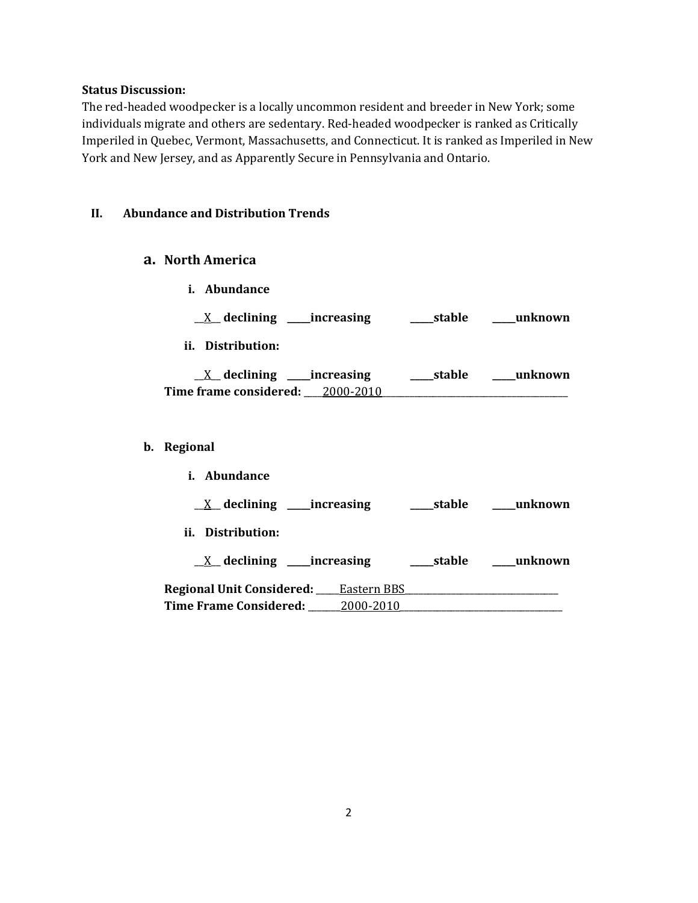#### **Status Discussion:**

The red-headed woodpecker is a locally uncommon resident and breeder in New York; some individuals migrate and others are sedentary. Red-headed woodpecker is ranked as Critically Imperiled in Quebec, Vermont, Massachusetts, and Connecticut. It is ranked as Imperiled in New York and New Jersey, and as Apparently Secure in Pennsylvania and Ontario.

# **II. Abundance and Distribution Trends**

# **a. North America**

- **i. Abundance**
- \_\_X\_\_ **declining \_\_\_\_\_increasing \_\_\_\_\_stable \_\_\_\_\_unknown**
- **ii. Distribution:**

| declining _____increasing        | ___stable | unknown |
|----------------------------------|-----------|---------|
| Time frame considered: 2000-2010 |           |         |

# **b. Regional**

| <i>i.</i> Abundance              |             |        |         |
|----------------------------------|-------------|--------|---------|
| $X$ declining ______ increasing  |             | stable | unknown |
| ii. Distribution:                |             |        |         |
| $X$ declining _____increasing    |             | stable | unknown |
| <b>Regional Unit Considered:</b> | Eastern BBS |        |         |
| <b>Time Frame Considered:</b>    | 2000-2010   |        |         |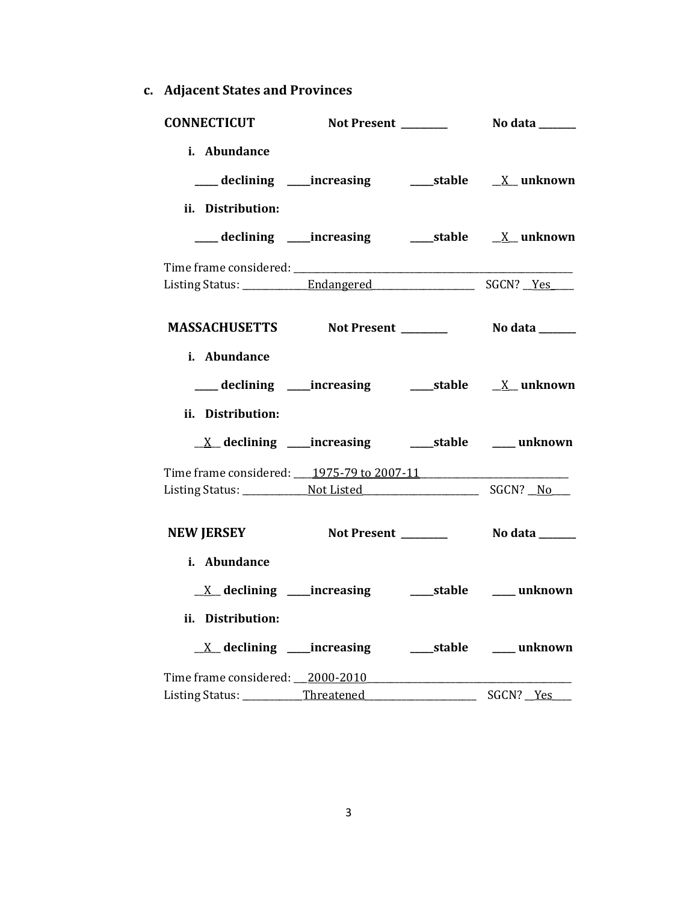**c. Adjacent States and Provinces**

| CONNECTICUT Not Present _________ No data ______    |                                                              |                          |                  |
|-----------------------------------------------------|--------------------------------------------------------------|--------------------------|------------------|
| i. Abundance<br>ii. Distribution:                   |                                                              |                          |                  |
|                                                     |                                                              |                          |                  |
|                                                     |                                                              |                          |                  |
| MASSACHUSETTS Not Present __________ No data ______ |                                                              |                          |                  |
| i. Abundance<br>ii. Distribution:                   |                                                              |                          |                  |
|                                                     | <u>X</u> declining ____increasing ______stable _____ unknown |                          |                  |
| Time frame considered: 1975-79 to 2007-11           |                                                              |                          |                  |
| NEW JERSEY Not Present Notal Nodata                 |                                                              |                          |                  |
| i. Abundance<br>ii. Distribution:                   | <u>X</u> declining ____increasing ______stable _____ unknown |                          |                  |
| Time frame considered: 2000-2010                    |                                                              | $\overline{\phantom{a}}$ | SGCN? <u>Yes</u> |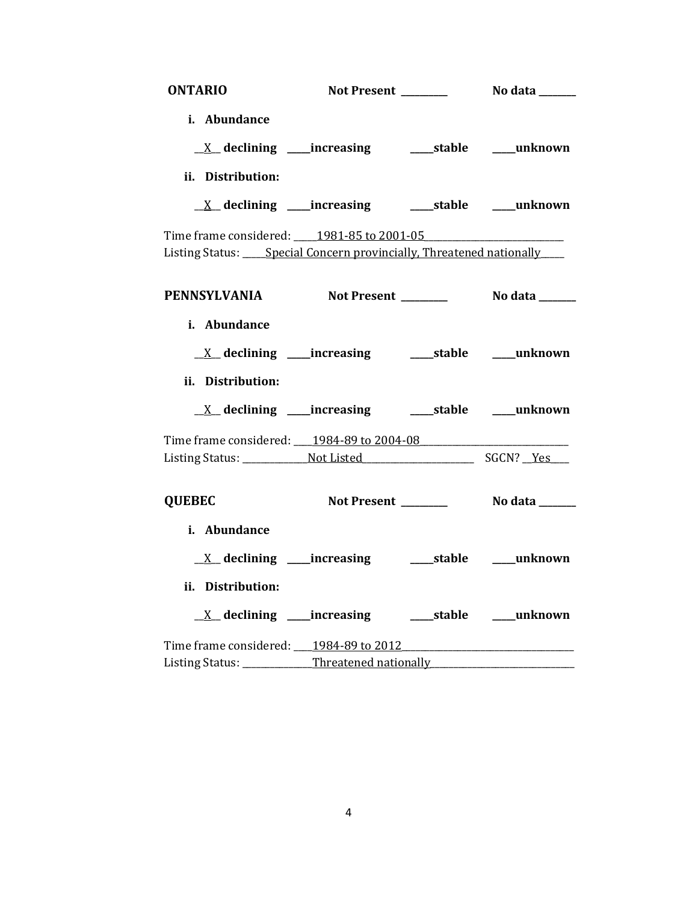| <b>ONTARIO</b>                                                               |                      |                           |
|------------------------------------------------------------------------------|----------------------|---------------------------|
| i. Abundance                                                                 |                      |                           |
|                                                                              |                      |                           |
| ii. Distribution:                                                            |                      |                           |
| <u>X</u> declining ____increasing ______stable ____unknown                   |                      |                           |
| Time frame considered: 1981-85 to 2001-05                                    |                      |                           |
| Listing Status: ____ Special Concern provincially, Threatened nationally ___ |                      |                           |
|                                                                              |                      |                           |
| PENNSYLVANIA                                                                 | Not Present ________ | No data ______            |
| i. Abundance                                                                 |                      |                           |
|                                                                              |                      |                           |
|                                                                              |                      |                           |
| ii. Distribution:                                                            |                      |                           |
| <u>X</u> declining ____increasing ______stable ____unknown                   |                      |                           |
| Time frame considered: 1984-89 to 2004-08                                    |                      |                           |
|                                                                              |                      |                           |
| <b>QUEBEC</b>                                                                | Not Present _______  | No data ______            |
| i. Abundance                                                                 |                      |                           |
| $X$ declining _____increasing                                                |                      | _____stable ______unknown |
| ii. Distribution:                                                            |                      |                           |
| <u>X</u> declining ____increasing _______stable _____unknown                 |                      |                           |
| Time frame considered: 1984-89 to 2012                                       |                      |                           |
| Listing Status: Threatened nationally                                        |                      |                           |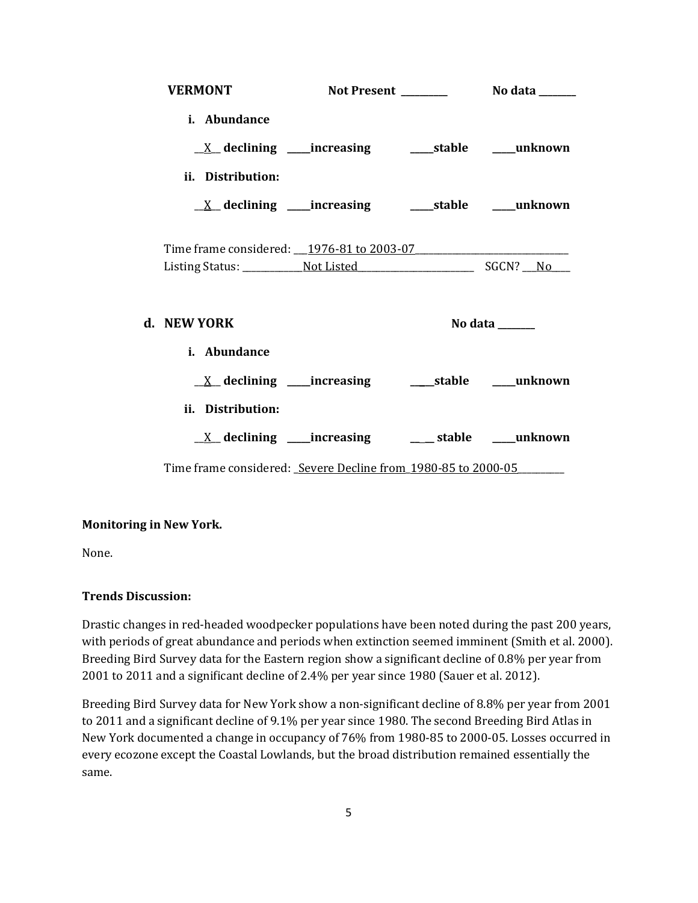| <b>VERMONT</b>                                                           |  |                                   |
|--------------------------------------------------------------------------|--|-----------------------------------|
| i. Abundance                                                             |  |                                   |
| $\underline{X}$ declining ____increasing __________stable ______unknown  |  |                                   |
| ii. Distribution:                                                        |  |                                   |
| $\underline{X}$ declining ____increasing __________stable ______unknown  |  |                                   |
|                                                                          |  |                                   |
| Time frame considered: 1976-81 to 2003-07                                |  |                                   |
|                                                                          |  |                                   |
| d. NEW YORK                                                              |  | No data $\_\_\_\_\_\_\_\_\_\_\_\$ |
| <i>i.</i> Abundance                                                      |  |                                   |
|                                                                          |  |                                   |
| ii. Distribution:                                                        |  |                                   |
| $\underline{X}$ declining ____increasing ___________stable ______unknown |  |                                   |
| Time frame considered: Severe Decline from 1980-85 to 2000-05            |  |                                   |

# **Monitoring in New York.**

None.

# **Trends Discussion:**

Drastic changes in red-headed woodpecker populations have been noted during the past 200 years, with periods of great abundance and periods when extinction seemed imminent (Smith et al. 2000). Breeding Bird Survey data for the Eastern region show a significant decline of 0.8% per year from 2001 to 2011 and a significant decline of 2.4% per year since 1980 (Sauer et al. 2012).

Breeding Bird Survey data for New York show a non-significant decline of 8.8% per year from 2001 to 2011 and a significant decline of 9.1% per year since 1980. The second Breeding Bird Atlas in New York documented a change in occupancy of 76% from 1980-85 to 2000-05. Losses occurred in every ecozone except the Coastal Lowlands, but the broad distribution remained essentially the same.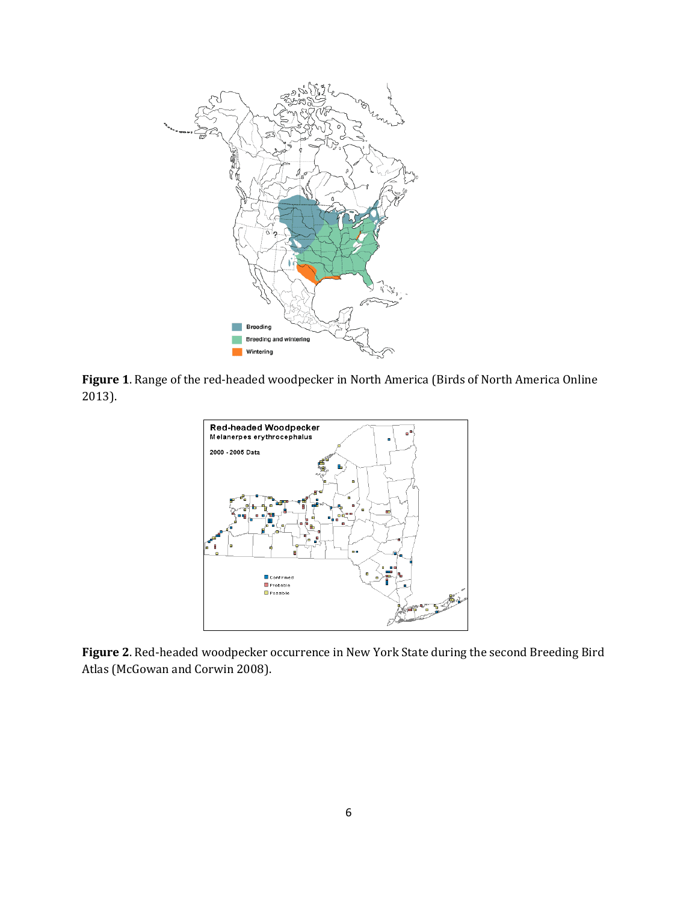

**Figure 1**. Range of the red-headed woodpecker in North America (Birds of North America Online 2013).



**Figure 2**. Red-headed woodpecker occurrence in New York State during the second Breeding Bird Atlas (McGowan and Corwin 2008).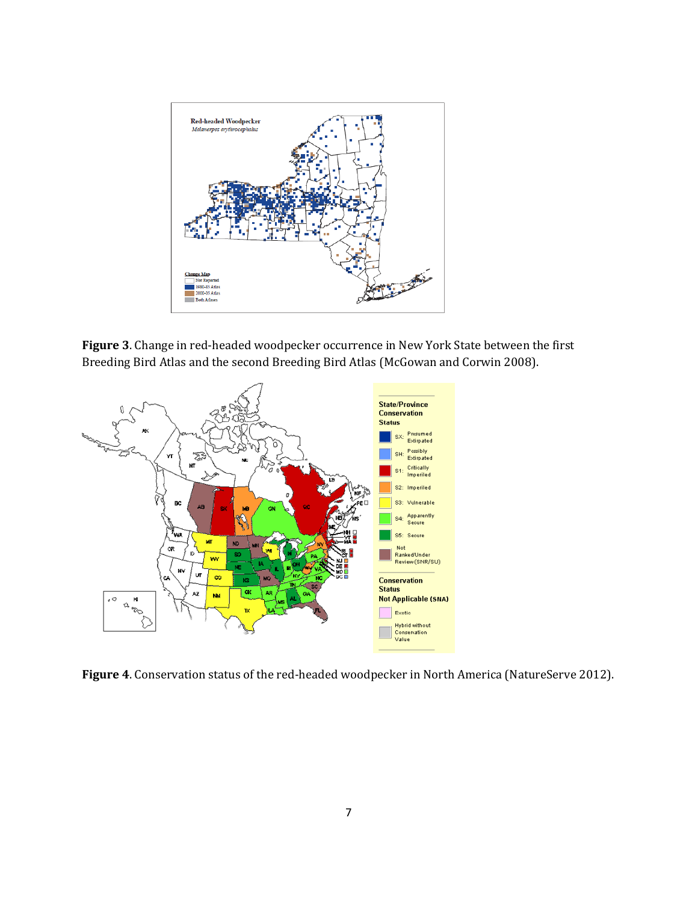

**Figure 3**. Change in red-headed woodpecker occurrence in New York State between the first Breeding Bird Atlas and the second Breeding Bird Atlas (McGowan and Corwin 2008).



**Figure 4**. Conservation status of the red-headed woodpecker in North America (NatureServe 2012).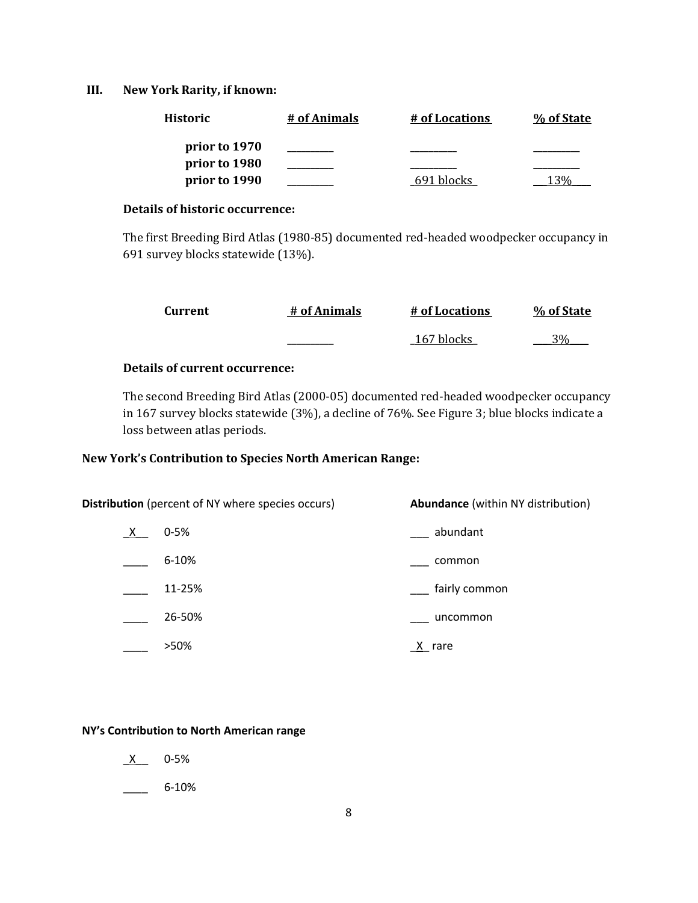# **III. New York Rarity, if known:**

| <b>Historic</b> | # of Animals | # of Locations | % of State |
|-----------------|--------------|----------------|------------|
| prior to 1970   |              |                |            |
| prior to 1980   |              |                |            |
| prior to 1990   |              | 691 blocks     |            |

# **Details of historic occurrence:**

The first Breeding Bird Atlas (1980-85) documented red-headed woodpecker occupancy in 691 survey blocks statewide (13%).

| Current | # of Animals | # of Locations | % of State      |
|---------|--------------|----------------|-----------------|
|         |              | 167 blocks     | 30 <sub>0</sub> |

# **Details of current occurrence:**

The second Breeding Bird Atlas (2000-05) documented red-headed woodpecker occupancy in 167 survey blocks statewide (3%), a decline of 76%. See Figure 3; blue blocks indicate a loss between atlas periods.

# **New York's Contribution to Species North American Range:**

|          | <b>Distribution</b> (percent of NY where species occurs) | <b>Abundance</b> (within NY distribution) |  |
|----------|----------------------------------------------------------|-------------------------------------------|--|
| <u>X</u> | $0 - 5%$                                                 | abundant                                  |  |
|          | 6-10%                                                    | common                                    |  |
|          | 11-25%                                                   | fairly common                             |  |
|          | 26-50%                                                   | uncommon                                  |  |
|          | >50%                                                     | rare                                      |  |

#### **NY's Contribution to North American range**

- $X$  0-5%
- $\frac{6-10\%}{2\%}$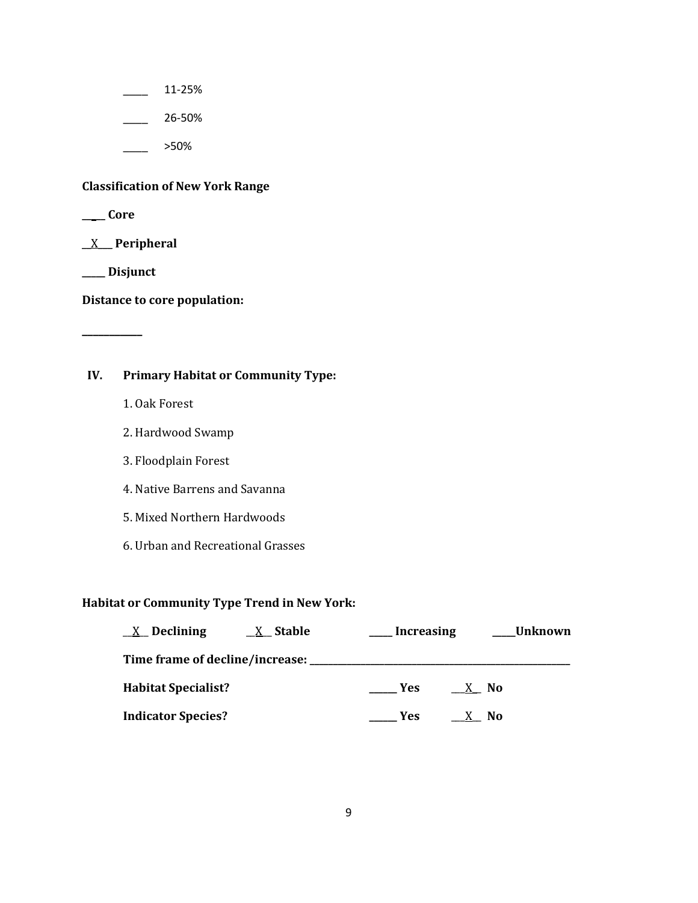$\frac{11-25\%}{2}$ 

 $\frac{26-50\%}{26}$ 

\_\_\_\_ >50%

# **Classification of New York Range**

**\_\_\_\_\_ Core**

\_\_X\_\_\_ **Peripheral**

**\_\_\_\_\_ Disjunct**

**\_\_\_\_\_\_\_\_\_\_\_**

**Distance to core population:**

# **IV. Primary Habitat or Community Type:**

- 1. Oak Forest
- 2. Hardwood Swamp
- 3. Floodplain Forest
- 4. Native Barrens and Savanna
- 5. Mixed Northern Hardwoods
- 6. Urban and Recreational Grasses

# **Habitat or Community Type Trend in New York:**

| $X$ Declining                      | <u>X</u> Stable | <b>Increasing</b> |      | Unknown |
|------------------------------------|-----------------|-------------------|------|---------|
| Time frame of decline/increase: __ |                 |                   |      |         |
| <b>Habitat Specialist?</b>         |                 | <b>Yes</b>        | X No |         |
| <b>Indicator Species?</b>          |                 | Yes               | N0   |         |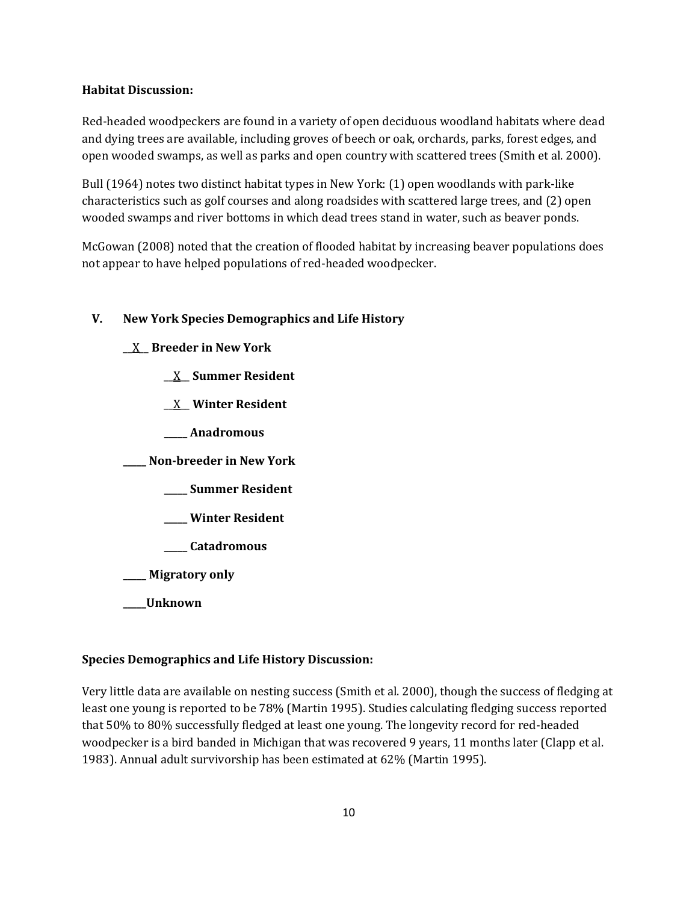# **Habitat Discussion:**

Red-headed woodpeckers are found in a variety of open deciduous woodland habitats where dead and dying trees are available, including groves of beech or oak, orchards, parks, forest edges, and open wooded swamps, as well as parks and open country with scattered trees (Smith et al. 2000).

Bull (1964) notes two distinct habitat types in New York: (1) open woodlands with park-like characteristics such as golf courses and along roadsides with scattered large trees, and (2) open wooded swamps and river bottoms in which dead trees stand in water, such as beaver ponds.

McGowan (2008) noted that the creation of flooded habitat by increasing beaver populations does not appear to have helped populations of red-headed woodpecker.

# **V. New York Species Demographics and Life History**

- \_\_X\_\_ **Breeder in New York**
	- \_\_X\_\_ **Summer Resident**
	- \_\_X\_\_ **Winter Resident**
	- **\_\_\_\_\_ Anadromous**

**\_\_\_\_\_ Non-breeder in New York**

- **\_\_\_\_\_ Summer Resident**
- **\_\_\_\_\_ Winter Resident**
- **\_\_\_\_\_ Catadromous**

**\_\_\_\_\_ Migratory only**

**\_\_\_\_\_Unknown**

# **Species Demographics and Life History Discussion:**

Very little data are available on nesting success (Smith et al. 2000), though the success of fledging at least one young is reported to be 78% (Martin 1995). Studies calculating fledging success reported that 50% to 80% successfully fledged at least one young. The longevity record for red-headed woodpecker is a bird banded in Michigan that was recovered 9 years, 11 months later (Clapp et al. 1983). Annual adult survivorship has been estimated at 62% (Martin 1995).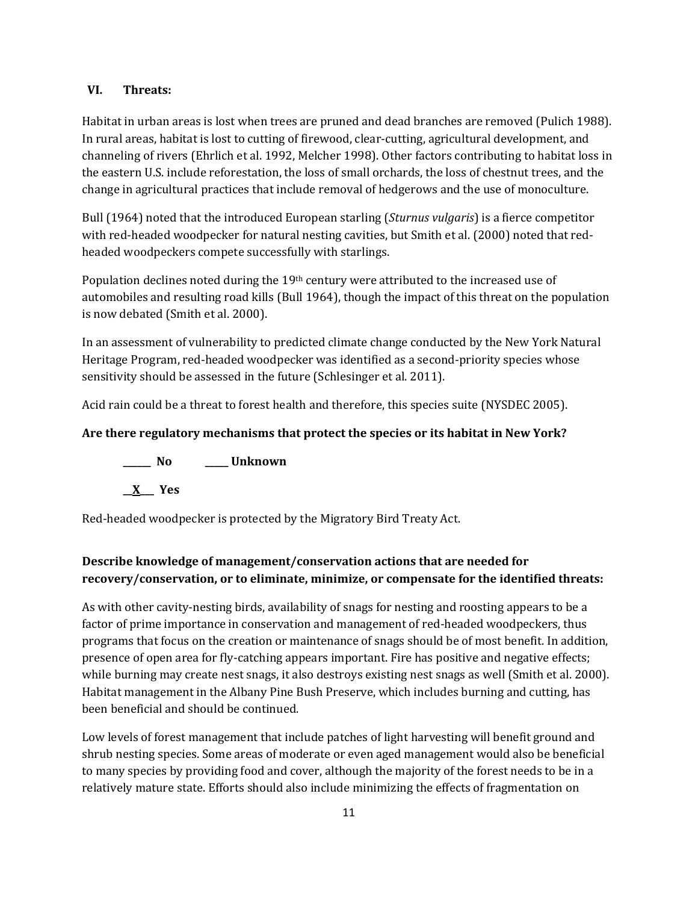# **VI. Threats:**

Habitat in urban areas is lost when trees are pruned and dead branches are removed (Pulich 1988). In rural areas, habitat is lost to cutting of firewood, clear-cutting, agricultural development, and channeling of rivers (Ehrlich et al. 1992, Melcher 1998). Other factors contributing to habitat loss in the eastern U.S. include reforestation, the loss of small orchards, the loss of chestnut trees, and the change in agricultural practices that include removal of hedgerows and the use of monoculture.

Bull (1964) noted that the introduced European starling (*Sturnus vulgaris*) is a fierce competitor with red-headed woodpecker for natural nesting cavities, but Smith et al. (2000) noted that redheaded woodpeckers compete successfully with starlings.

Population declines noted during the 19<sup>th</sup> century were attributed to the increased use of automobiles and resulting road kills (Bull 1964), though the impact of this threat on the population is now debated (Smith et al. 2000).

In an assessment of vulnerability to predicted climate change conducted by the New York Natural Heritage Program, red-headed woodpecker was identified as a second-priority species whose sensitivity should be assessed in the future (Schlesinger et al. 2011).

Acid rain could be a threat to forest health and therefore, this species suite (NYSDEC 2005).

# **Are there regulatory mechanisms that protect the species or its habitat in New York?**

**\_\_\_\_\_\_ No \_\_\_\_\_ Unknown**

**\_\_X\_\_\_ Yes** 

Red-headed woodpecker is protected by the Migratory Bird Treaty Act.

# **Describe knowledge of management/conservation actions that are needed for recovery/conservation, or to eliminate, minimize, or compensate for the identified threats:**

As with other cavity-nesting birds, availability of snags for nesting and roosting appears to be a factor of prime importance in conservation and management of red-headed woodpeckers, thus programs that focus on the creation or maintenance of snags should be of most benefit. In addition, presence of open area for fly-catching appears important. Fire has positive and negative effects; while burning may create nest snags, it also destroys existing nest snags as well (Smith et al. 2000). Habitat management in the Albany Pine Bush Preserve, which includes burning and cutting, has been beneficial and should be continued.

Low levels of forest management that include patches of light harvesting will benefit ground and shrub nesting species. Some areas of moderate or even aged management would also be beneficial to many species by providing food and cover, although the majority of the forest needs to be in a relatively mature state. Efforts should also include minimizing the effects of fragmentation on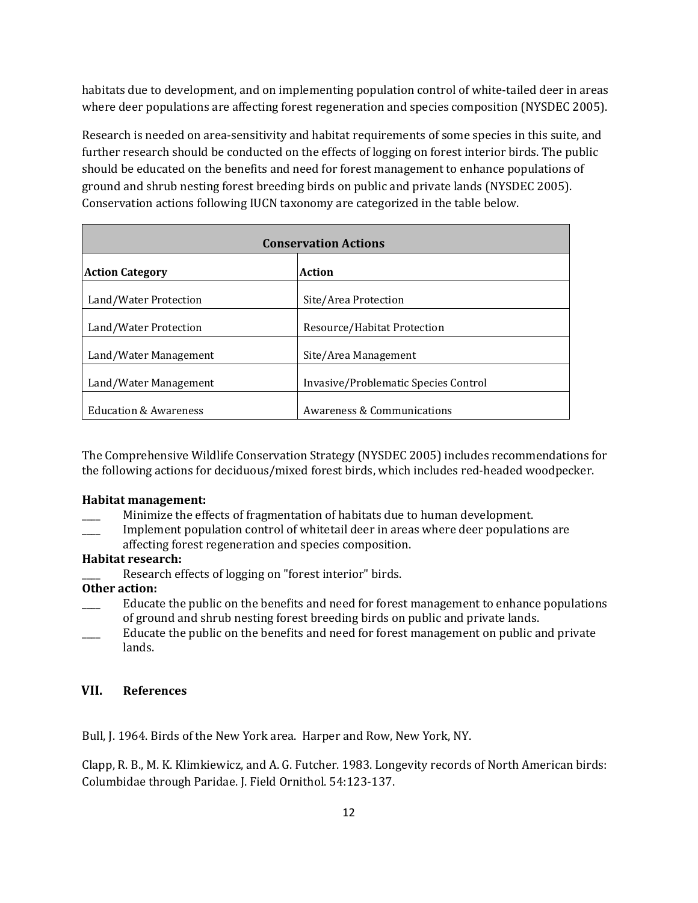habitats due to development, and on implementing population control of white-tailed deer in areas where deer populations are affecting forest regeneration and species composition (NYSDEC 2005).

Research is needed on area-sensitivity and habitat requirements of some species in this suite, and further research should be conducted on the effects of logging on forest interior birds. The public should be educated on the benefits and need for forest management to enhance populations of ground and shrub nesting forest breeding birds on public and private lands (NYSDEC 2005). Conservation actions following IUCN taxonomy are categorized in the table below.

| <b>Conservation Actions</b>      |                                      |
|----------------------------------|--------------------------------------|
| <b>Action Category</b>           | Action                               |
| Land/Water Protection            | Site/Area Protection                 |
| Land/Water Protection            | Resource/Habitat Protection          |
| Land/Water Management            | Site/Area Management                 |
| Land/Water Management            | Invasive/Problematic Species Control |
| <b>Education &amp; Awareness</b> | Awareness & Communications           |

The Comprehensive Wildlife Conservation Strategy (NYSDEC 2005) includes recommendations for the following actions for deciduous/mixed forest birds, which includes red-headed woodpecker.

# **Habitat management:**

Minimize the effects of fragmentation of habitats due to human development.

Implement population control of whitetail deer in areas where deer populations are affecting forest regeneration and species composition.

# **Habitat research:**

Research effects of logging on "forest interior" birds.

# **Other action:**

- Educate the public on the benefits and need for forest management to enhance populations of ground and shrub nesting forest breeding birds on public and private lands.
- Educate the public on the benefits and need for forest management on public and private lands.

# **VII. References**

Bull, J. 1964. Birds of the New York area. Harper and Row, New York, NY.

Clapp, R. B., M. K. Klimkiewicz, and A. G. Futcher. 1983. Longevity records of North American birds: Columbidae through Paridae. J. Field Ornithol. 54:123-137.